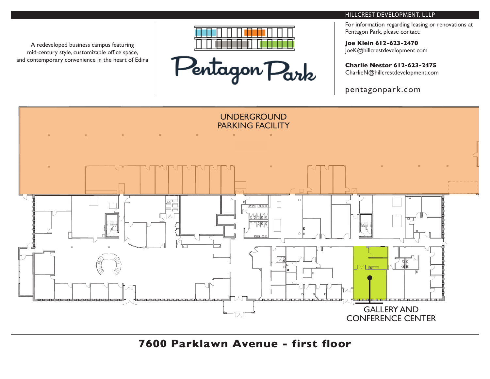

Pentagon Park

### HILLCREST DEVELOPMENT, LLLP

For information regarding leasing or renovations at Pentagon Park, please contact:

**Joe Klein 612-623-2470** JoeK@hillcrestdevelopment.com

**Charlie Nestor 612-623-2475** CharlieN@hillcrestdevelopment.com

pentagonpark.com



**7600 Parklawn Avenue - first floor**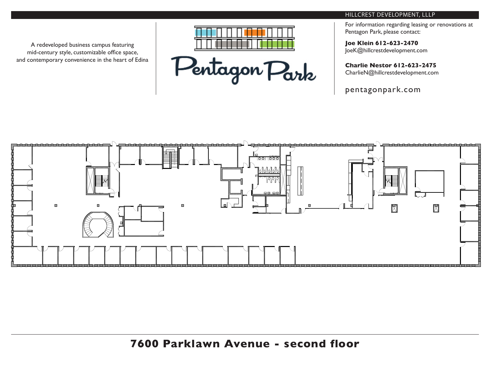

Pentagon Park

# HILLCREST DEVELOPMENT, LLLP

For information regarding leasing or renovations at Pentagon Park, please contact:

**Joe Klein 612-623-2470** JoeK@hillcrestdevelopment.com

**Charlie Nestor 612-623-2475** CharlieN@hillcrestdevelopment.com

pentagonpark.com

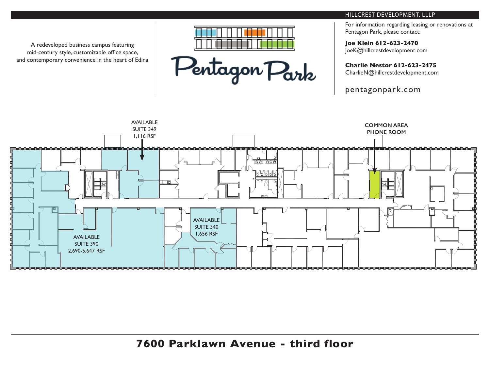

Pentagon Park

# HILLCREST DEVELOPMENT, LLLP

For information regarding leasing or renovations at Pentagon Park, please contact:

**Joe Klein 612-623-2470** JoeK@hillcrestdevelopment.com

**Charlie Nestor 612-623-2475**

CharlieN@hillcrestdevelopment.com

pentagonpark.com